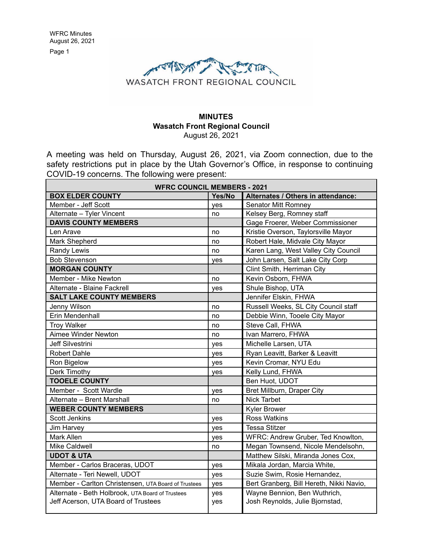

#### **MINUTES Wasatch Front Regional Council** August 26, 2021

A meeting was held on Thursday, August 26, 2021, via Zoom connection, due to the safety restrictions put in place by the Utah Governor's Office, in response to continuing COVID-19 concerns. The following were present:

| <b>WFRC COUNCIL MEMBERS - 2021</b>                  |        |                                          |  |
|-----------------------------------------------------|--------|------------------------------------------|--|
| <b>BOX ELDER COUNTY</b>                             | Yes/No | Alternates / Others in attendance:       |  |
| Member - Jeff Scott                                 | yes    | <b>Senator Mitt Romney</b>               |  |
| Alternate - Tyler Vincent                           | no     | Kelsey Berg, Romney staff                |  |
| <b>DAVIS COUNTY MEMBERS</b>                         |        | Gage Froerer, Weber Commissioner         |  |
| Len Arave                                           | no     | Kristie Overson, Taylorsville Mayor      |  |
| Mark Shepherd                                       | no     | Robert Hale, Midvale City Mayor          |  |
| Randy Lewis                                         | no     | Karen Lang, West Valley City Council     |  |
| <b>Bob Stevenson</b>                                | yes    | John Larsen, Salt Lake City Corp         |  |
| <b>MORGAN COUNTY</b>                                |        | Clint Smith, Herriman City               |  |
| Member - Mike Newton                                | no     | Kevin Osborn, FHWA                       |  |
| Alternate - Blaine Fackrell                         | yes    | Shule Bishop, UTA                        |  |
| <b>SALT LAKE COUNTY MEMBERS</b>                     |        | Jennifer Elskin, FHWA                    |  |
| Jenny Wilson                                        | no     | Russell Weeks, SL City Council staff     |  |
| Erin Mendenhall                                     | no     | Debbie Winn, Tooele City Mayor           |  |
| <b>Troy Walker</b>                                  | no     | Steve Call, FHWA                         |  |
| Aimee Winder Newton                                 | no     | Ivan Marrero, FHWA                       |  |
| Jeff Silvestrini                                    | yes    | Michelle Larsen, UTA                     |  |
| <b>Robert Dahle</b>                                 | yes    | Ryan Leavitt, Barker & Leavitt           |  |
| Ron Bigelow                                         | yes    | Kevin Cromar, NYU Edu                    |  |
| Derk Timothy                                        | yes    | Kelly Lund, FHWA                         |  |
| <b>TOOELE COUNTY</b>                                |        | Ben Huot, UDOT                           |  |
| Member - Scott Wardle                               | yes    | Bret Millburn, Draper City               |  |
| Alternate - Brent Marshall                          | no     | <b>Nick Tarbet</b>                       |  |
| <b>WEBER COUNTY MEMBERS</b>                         |        | <b>Kyler Brower</b>                      |  |
| <b>Scott Jenkins</b>                                | yes    | <b>Ross Watkins</b>                      |  |
| Jim Harvey                                          | yes    | <b>Tessa Stitzer</b>                     |  |
| <b>Mark Allen</b>                                   | yes    | WFRC: Andrew Gruber, Ted Knowlton,       |  |
| <b>Mike Caldwell</b>                                | no     | Megan Townsend, Nicole Mendelsohn,       |  |
| <b>UDOT &amp; UTA</b>                               |        | Matthew Silski, Miranda Jones Cox,       |  |
| Member - Carlos Braceras, UDOT                      | yes    | Mikala Jordan, Marcia White,             |  |
| Alternate - Teri Newell, UDOT                       | yes    | Suzie Swim, Rosie Hernandez,             |  |
| Member - Carlton Christensen, UTA Board of Trustees | yes    | Bert Granberg, Bill Hereth, Nikki Navio, |  |
| Alternate - Beth Holbrook, UTA Board of Trustees    | yes    | Wayne Bennion, Ben Wuthrich,             |  |
| Jeff Acerson, UTA Board of Trustees                 | yes    | Josh Reynolds, Julie Bjornstad,          |  |
|                                                     |        |                                          |  |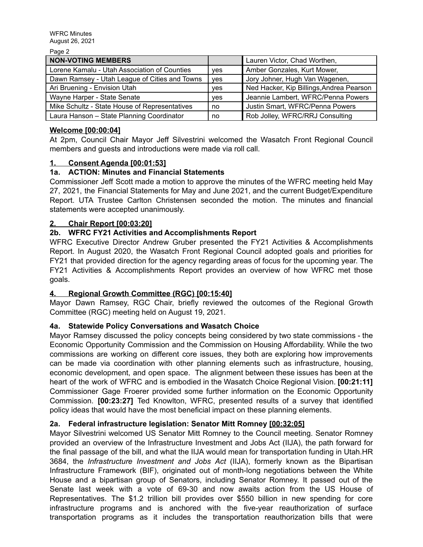Page 2

| <b>NON-VOTING MEMBERS</b>                     |            | Lauren Victor, Chad Worthen,             |
|-----------------------------------------------|------------|------------------------------------------|
| Lorene Kamalu - Utah Association of Counties  | <b>ves</b> | Amber Gonzales, Kurt Mower,              |
| Dawn Ramsey - Utah League of Cities and Towns | ves        | Jory Johner, Hugh Van Wagenen,           |
| Ari Bruening - Envision Utah                  | ves        | Ned Hacker, Kip Billings, Andrea Pearson |
| Wayne Harper - State Senate                   | <b>ves</b> | Jeannie Lambert, WFRC/Penna Powers       |
| Mike Schultz - State House of Representatives | no         | Justin Smart, WFRC/Penna Powers          |
| Laura Hanson - State Planning Coordinator     | no         | Rob Jolley, WFRC/RRJ Consulting          |

#### **Welcome [00:00:04]**

At 2pm, Council Chair Mayor Jeff Silvestrini welcomed the Wasatch Front Regional Council members and guests and introductions were made via roll call.

## **1. Consent Agenda [00:01:53]**

## **1a. ACTION: Minutes and Financial Statements**

Commissioner Jeff Scott made a motion to approve the minutes of the WFRC meeting held May 27, 2021, the Financial Statements for May and June 2021, and the current Budget/Expenditure Report. UTA Trustee Carlton Christensen seconded the motion. The minutes and financial statements were accepted unanimously.

#### **2. Chair Report [00:03:20]**

## **2b. WFRC FY21 Activities and Accomplishments Report**

WFRC Executive Director Andrew Gruber presented the FY21 Activities & Accomplishments Report. In August 2020, the Wasatch Front Regional Council adopted goals and priorities for FY21 that provided direction for the agency regarding areas of focus for the upcoming year. The FY21 Activities & Accomplishments Report provides an overview of how WFRC met those goals.

#### **4. Regional Growth Committee (RGC) [00:15:40]**

Mayor Dawn Ramsey, RGC Chair, briefly reviewed the outcomes of the Regional Growth Committee (RGC) meeting held on August 19, 2021.

#### **4a. Statewide Policy Conversations and Wasatch Choice**

Mayor Ramsey discussed the policy concepts being considered by two state commissions - the Economic Opportunity Commission and the Commission on Housing Affordability. While the two commissions are working on different core issues, they both are exploring how improvements can be made via coordination with other planning elements such as infrastructure, housing, economic development, and open space. The alignment between these issues has been at the heart of the work of WFRC and is embodied in the Wasatch Choice Regional Vision. **[00:21:11]** Commissioner Gage Froerer provided some further information on the Economic Opportunity Commission. **[00:23:27]** Ted Knowlton, WFRC, presented results of a survey that identified policy ideas that would have the most beneficial impact on these planning elements.

#### **2a. Federal infrastructure legislation: Senator Mitt Romney [00:32:05]**

Mayor Silvestrini welcomed US Senator Mitt Romney to the Council meeting. Senator Romney provided an overview of the Infrastructure Investment and Jobs Act (IIJA), the path forward for the final passage of the bill, and what the IIJA would mean for transportation funding in Utah.HR 3684, the *Infrastructure Investment and Jobs Act* (IIJA), formerly known as the Bipartisan Infrastructure Framework (BIF), originated out of month-long negotiations between the White House and a bipartisan group of Senators, including Senator Romney. It passed out of the Senate last week with a vote of 69-30 and now awaits action from the US House of Representatives. The \$1.2 trillion bill provides over \$550 billion in new spending for core infrastructure programs and is anchored with the five-year reauthorization of surface transportation programs as it includes the transportation reauthorization bills that were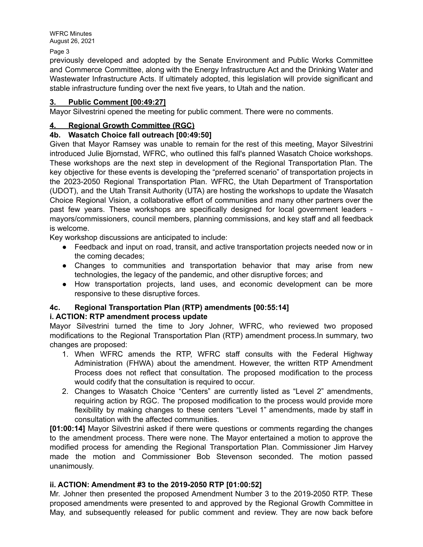Page 3

previously developed and adopted by the Senate Environment and Public Works Committee and Commerce Committee, along with the Energy Infrastructure Act and the Drinking Water and Wastewater Infrastructure Acts. If ultimately adopted, this legislation will provide significant and stable infrastructure funding over the next five years, to Utah and the nation.

#### **3. Public Comment [00:49:27]**

Mayor Silvestrini opened the meeting for public comment. There were no comments.

## **4. Regional Growth Committee (RGC)**

## **4b. Wasatch Choice fall outreach [00:49:50]**

Given that Mayor Ramsey was unable to remain for the rest of this meeting, Mayor Silvestrini introduced Julie Bjornstad, WFRC, who outlined this fall's planned Wasatch Choice workshops. These workshops are the next step in development of the Regional Transportation Plan. The key objective for these events is developing the "preferred scenario" of transportation projects in the 2023-2050 Regional Transportation Plan. WFRC, the Utah Department of Transportation (UDOT), and the Utah Transit Authority (UTA) are hosting the workshops to update the Wasatch Choice Regional Vision, a collaborative effort of communities and many other partners over the past few years. These workshops are specifically designed for local government leaders mayors/commissioners, council members, planning commissions, and key staff and all feedback is welcome.

Key workshop discussions are anticipated to include:

- Feedback and input on road, transit, and active transportation projects needed now or in the coming decades;
- Changes to communities and transportation behavior that may arise from new technologies, the legacy of the pandemic, and other disruptive forces; and
- How transportation projects, land uses, and economic development can be more responsive to these disruptive forces.

# **4c. Regional Transportation Plan (RTP) amendments [00:55:14]**

# **i. ACTION: RTP amendment process update**

Mayor Silvestrini turned the time to Jory Johner, WFRC, who reviewed two proposed modifications to the Regional Transportation Plan (RTP) amendment process.In summary, two changes are proposed:

- 1. When WFRC amends the RTP, WFRC staff consults with the Federal Highway Administration (FHWA) about the amendment. However, the written RTP Amendment Process does not reflect that consultation. The proposed modification to the process would codify that the consultation is required to occur.
- 2. Changes to Wasatch Choice "Centers" are currently listed as "Level 2" amendments, requiring action by RGC. The proposed modification to the process would provide more flexibility by making changes to these centers "Level 1" amendments, made by staff in consultation with the affected communities.

**[01:00:14]** Mayor Silvestrini asked if there were questions or comments regarding the changes to the amendment process. There were none. The Mayor entertained a motion to approve the modified process for amending the Regional Transportation Plan. Commissioner Jim Harvey made the motion and Commissioner Bob Stevenson seconded. The motion passed unanimously.

#### **ii. ACTION: Amendment #3 to the 2019-2050 RTP [01:00:52]**

Mr. Johner then presented the proposed Amendment Number 3 to the 2019-2050 RTP. These proposed amendments were presented to and approved by the Regional Growth Committee in May, and subsequently released for public comment and review. They are now back before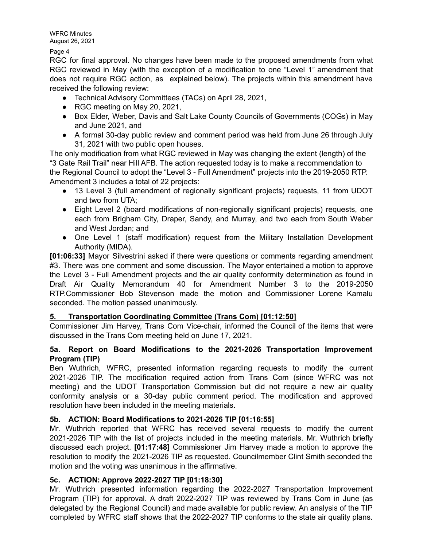Page 4

RGC for final approval. No changes have been made to the proposed amendments from what RGC reviewed in May (with the exception of a modification to one "Level 1" amendment that does not require RGC action, as explained below). The projects within this amendment have received the following review:

- Technical Advisory Committees (TACs) on April 28, 2021,
- RGC meeting on May 20, 2021,
- Box Elder, Weber, Davis and Salt Lake County Councils of Governments (COGs) in May and June 2021, and
- A formal 30-day public review and comment period was held from June 26 through July 31, 2021 with two public open houses.

The only modification from what RGC reviewed in May was changing the extent (length) of the "3 Gate Rail Trail" near Hill AFB. The action requested today is to make a recommendation to the Regional Council to adopt the "Level 3 - Full Amendment" projects into the 2019-2050 RTP. Amendment 3 includes a total of 22 projects:

- 13 Level 3 (full amendment of regionally significant projects) requests, 11 from UDOT and two from UTA;
- Eight Level 2 (board modifications of non-regionally significant projects) requests, one each from Brigham City, Draper, Sandy, and Murray, and two each from South Weber and West Jordan; and
- One Level 1 (staff modification) request from the Military Installation Development Authority (MIDA).

**[01:06:33]** Mayor Silvestrini asked if there were questions or comments regarding amendment #3. There was one comment and some discussion. The Mayor entertained a motion to approve the Level 3 - Full Amendment projects and the air quality conformity determination as found in Draft Air Quality Memorandum 40 for Amendment Number 3 to the 2019-2050 RTP.Commissioner Bob Stevenson made the motion and Commissioner Lorene Kamalu seconded. The motion passed unanimously.

# **5. Transportation Coordinating Committee (Trans Com) [01:12:50]**

Commissioner Jim Harvey, Trans Com Vice-chair, informed the Council of the items that were discussed in the Trans Com meeting held on June 17, 2021.

## **5a. Report on Board Modifications to the 2021-2026 Transportation Improvement Program (TIP)**

Ben Wuthrich, WFRC, presented information regarding requests to modify the current 2021-2026 TIP. The modification required action from Trans Com (since WFRC was not meeting) and the UDOT Transportation Commission but did not require a new air quality conformity analysis or a 30-day public comment period. The modification and approved resolution have been included in the meeting materials.

# **5b. ACTION: Board Modifications to 2021-2026 TIP [01:16:55]**

Mr. Wuthrich reported that WFRC has received several requests to modify the current 2021-2026 TIP with the list of projects included in the meeting materials. Mr. Wuthrich briefly discussed each project. **[01:17:48]** Commissioner Jim Harvey made a motion to approve the resolution to modify the 2021-2026 TIP as requested. Councilmember Clint Smith seconded the motion and the voting was unanimous in the affirmative.

# **5c. ACTION: Approve 2022-2027 TIP [01:18:30]**

Mr. Wuthrich presented information regarding the 2022-2027 Transportation Improvement Program (TIP) for approval. A draft 2022-2027 TIP was reviewed by Trans Com in June (as delegated by the Regional Council) and made available for public review. An analysis of the TIP completed by WFRC staff shows that the 2022-2027 TIP conforms to the state air quality plans.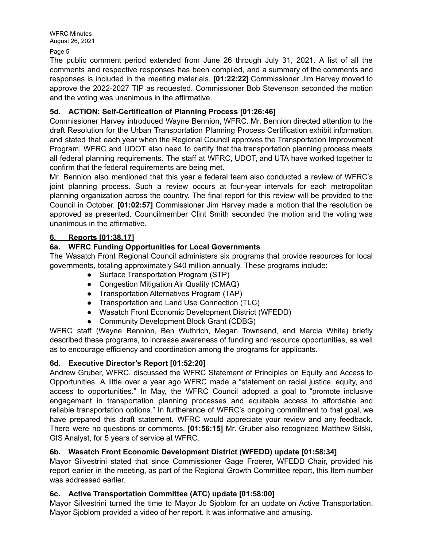Page 5

The public comment period extended from June 26 through July 31, 2021. A list of all the comments and respective responses has been compiled, and a summary of the comments and responses is included in the meeting materials. **[01:22:22]** Commissioner Jim Harvey moved to approve the 2022-2027 TIP as requested. Commissioner Bob Stevenson seconded the motion and the voting was unanimous in the affirmative.

# **5d. ACTION: Self-Certification of Planning Process [01:26:46]**

Commissioner Harvey introduced Wayne Bennion, WFRC. Mr. Bennion directed attention to the draft Resolution for the Urban Transportation Planning Process Certification exhibit information, and stated that each year when the Regional Council approves the Transportation Improvement Program, WFRC and UDOT also need to certify that the transportation planning process meets all federal planning requirements. The staff at WFRC, UDOT, and UTA have worked together to confirm that the federal requirements are being met.

Mr. Bennion also mentioned that this year a federal team also conducted a review of WFRC's joint planning process. Such a review occurs at four-year intervals for each metropolitan planning organization across the country. The final report for this review will be provided to the Council in October. **[01:02:57]** Commissioner Jim Harvey made a motion that the resolution be approved as presented. Councilmember Clint Smith seconded the motion and the voting was unanimous in the affirmative.

# **6. Reports [01:38.17]**

# **6a. WFRC Funding Opportunities for Local Governments**

The Wasatch Front Regional Council administers six programs that provide resources for local governments, totaling approximately \$40 million annually. These programs include:

- Surface Transportation Program (STP)
- Congestion Mitigation Air Quality (CMAQ)
- Transportation Alternatives Program (TAP)
- Transportation and Land Use Connection (TLC)
- Wasatch Front Economic Development District (WFEDD)
- Community Development Block Grant (CDBG)

WFRC staff (Wayne Bennion, Ben Wuthrich, Megan Townsend, and Marcia White) briefly described these programs, to increase awareness of funding and resource opportunities, as well as to encourage efficiency and coordination among the programs for applicants.

# **6d. Executive Director's Report [01:52:20]**

Andrew Gruber, WFRC, discussed the WFRC Statement of Principles on Equity and Access to Opportunities. A little over a year ago WFRC made a "statement on racial justice, equity, and access to opportunities." In May, the WFRC Council adopted a goal to "promote inclusive engagement in transportation planning processes and equitable access to affordable and reliable transportation options." In furtherance of WFRC's ongoing commitment to that goal, we have prepared this draft statement. WFRC would appreciate your review and any feedback. There were no questions or comments. **[01:56:15]** Mr. Gruber also recognized Matthew Silski, GIS Analyst, for 5 years of service at WFRC.

# **6b. Wasatch Front Economic Development District (WFEDD) update [01:58:34]**

Mayor Silvestrini stated that since Commissioner Gage Froerer, WFEDD Chair, provided his report earlier in the meeting, as part of the Regional Growth Committee report, this Item number was addressed earlier.

# **6c. Active Transportation Committee (ATC) update [01:58:00]**

Mayor Silvestrini turned the time to Mayor Jo Sjoblom for an update on Active Transportation. Mayor Sjoblom provided a video of her report. It was informative and amusing.